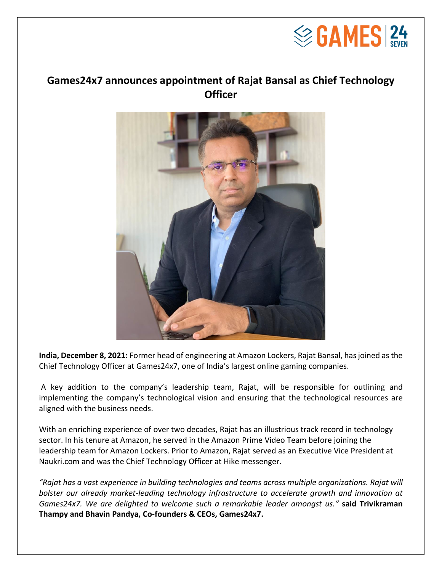

## **Games24x7 announces appointment of Rajat Bansal as Chief Technology Officer**



**India, December 8, 2021:** Former head of engineering at Amazon Lockers, Rajat Bansal, has joined as the Chief Technology Officer at Games24x7, one of India's largest online gaming companies.

A key addition to the company's leadership team, Rajat, will be responsible for outlining and implementing the company's technological vision and ensuring that the technological resources are aligned with the business needs.

With an enriching experience of over two decades, Rajat has an illustrious track record in technology sector. In his tenure at Amazon, he served in the Amazon Prime Video Team before joining the leadership team for Amazon Lockers. Prior to Amazon, Rajat served as an Executive Vice President at Naukri.com and was the Chief Technology Officer at Hike messenger.

*"Rajat has a vast experience in building technologies and teams across multiple organizations. Rajat will bolster our already market-leading technology infrastructure to accelerate growth and innovation at Games24x7. We are delighted to welcome such a remarkable leader amongst us."* **said Trivikraman Thampy and Bhavin Pandya, Co-founders & CEOs, Games24x7.**